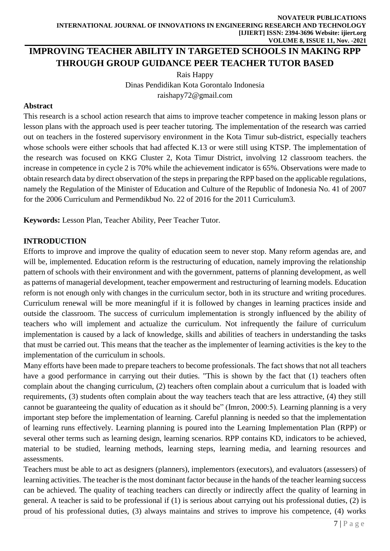# **IMPROVING TEACHER ABILITY IN TARGETED SCHOOLS IN MAKING RPP THROUGH GROUP GUIDANCE PEER TEACHER TUTOR BASED**

Rais Happy Dinas Pendidikan Kota Gorontalo Indonesia [raishapy72@gmail.com](mailto:raishapy72@gmail.com)

#### **Abstract**

This research is a school action research that aims to improve teacher competence in making lesson plans or lesson plans with the approach used is peer teacher tutoring. The implementation of the research was carried out on teachers in the fostered supervisory environment in the Kota Timur sub-district, especially teachers whose schools were either schools that had affected K.13 or were still using KTSP. The implementation of the research was focused on KKG Cluster 2, Kota Timur District, involving 12 classroom teachers. the increase in competence in cycle 2 is 70% while the achievement indicator is 65%. Observations were made to obtain research data by direct observation of the steps in preparing the RPP based on the applicable regulations, namely the Regulation of the Minister of Education and Culture of the Republic of Indonesia No. 41 of 2007 for the 2006 Curriculum and Permendikbud No. 22 of 2016 for the 2011 Curriculum3.

**Keywords:** Lesson Plan, Teacher Ability, Peer Teacher Tutor.

#### **INTRODUCTION**

Efforts to improve and improve the quality of education seem to never stop. Many reform agendas are, and will be, implemented. Education reform is the restructuring of education, namely improving the relationship pattern of schools with their environment and with the government, patterns of planning development, as well as patterns of managerial development, teacher empowerment and restructuring of learning models. Education reform is not enough only with changes in the curriculum sector, both in its structure and writing procedures. Curriculum renewal will be more meaningful if it is followed by changes in learning practices inside and outside the classroom. The success of curriculum implementation is strongly influenced by the ability of teachers who will implement and actualize the curriculum. Not infrequently the failure of curriculum implementation is caused by a lack of knowledge, skills and abilities of teachers in understanding the tasks that must be carried out. This means that the teacher as the implementer of learning activities is the key to the implementation of the curriculum in schools.

Many efforts have been made to prepare teachers to become professionals. The fact shows that not all teachers have a good performance in carrying out their duties. "This is shown by the fact that (1) teachers often complain about the changing curriculum, (2) teachers often complain about a curriculum that is loaded with requirements, (3) students often complain about the way teachers teach that are less attractive, (4) they still cannot be guaranteeing the quality of education as it should be" (Imron, 2000:5). Learning planning is a very important step before the implementation of learning. Careful planning is needed so that the implementation of learning runs effectively. Learning planning is poured into the Learning Implementation Plan (RPP) or several other terms such as learning design, learning scenarios. RPP contains KD, indicators to be achieved, material to be studied, learning methods, learning steps, learning media, and learning resources and assessments.

Teachers must be able to act as designers (planners), implementors (executors), and evaluators (assessers) of learning activities. The teacher is the most dominant factor because in the hands of the teacher learning success can be achieved. The quality of teaching teachers can directly or indirectly affect the quality of learning in general. A teacher is said to be professional if (1) is serious about carrying out his professional duties, (2) is proud of his professional duties, (3) always maintains and strives to improve his competence, (4) works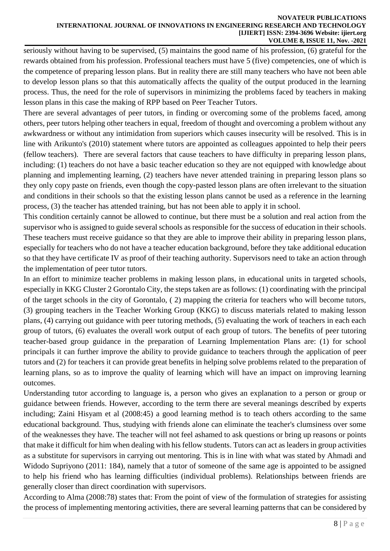#### **NOVATEUR PUBLICATIONS INTERNATIONAL JOURNAL OF INNOVATIONS IN ENGINEERING RESEARCH AND TECHNOLOGY [IJIERT] ISSN: 2394-3696 Website: ijiert.org VOLUME 8, ISSUE 11, Nov. -2021**

seriously without having to be supervised, (5) maintains the good name of his profession, (6) grateful for the rewards obtained from his profession. Professional teachers must have 5 (five) competencies, one of which is the competence of preparing lesson plans. But in reality there are still many teachers who have not been able to develop lesson plans so that this automatically affects the quality of the output produced in the learning process. Thus, the need for the role of supervisors in minimizing the problems faced by teachers in making lesson plans in this case the making of RPP based on Peer Teacher Tutors.

There are several advantages of peer tutors, in finding or overcoming some of the problems faced, among others, peer tutors helping other teachers in equal, freedom of thought and overcoming a problem without any awkwardness or without any intimidation from superiors which causes insecurity will be resolved. This is in line with Arikunto's (2010) statement where tutors are appointed as colleagues appointed to help their peers (fellow teachers). There are several factors that cause teachers to have difficulty in preparing lesson plans, including: (1) teachers do not have a basic teacher education so they are not equipped with knowledge about planning and implementing learning, (2) teachers have never attended training in preparing lesson plans so they only copy paste on friends, even though the copy-pasted lesson plans are often irrelevant to the situation and conditions in their schools so that the existing lesson plans cannot be used as a reference in the learning process, (3) the teacher has attended training, but has not been able to apply it in school.

This condition certainly cannot be allowed to continue, but there must be a solution and real action from the supervisor who is assigned to guide several schools as responsible for the success of education in their schools. These teachers must receive guidance so that they are able to improve their ability in preparing lesson plans, especially for teachers who do not have a teacher education background, before they take additional education so that they have certificate IV as proof of their teaching authority. Supervisors need to take an action through the implementation of peer tutor tutors.

In an effort to minimize teacher problems in making lesson plans, in educational units in targeted schools, especially in KKG Cluster 2 Gorontalo City, the steps taken are as follows: (1) coordinating with the principal of the target schools in the city of Gorontalo, ( 2) mapping the criteria for teachers who will become tutors, (3) grouping teachers in the Teacher Working Group (KKG) to discuss materials related to making lesson plans, (4) carrying out guidance with peer tutoring methods, (5) evaluating the work of teachers in each each group of tutors, (6) evaluates the overall work output of each group of tutors. The benefits of peer tutoring teacher-based group guidance in the preparation of Learning Implementation Plans are: (1) for school principals it can further improve the ability to provide guidance to teachers through the application of peer tutors and (2) for teachers it can provide great benefits in helping solve problems related to the preparation of learning plans, so as to improve the quality of learning which will have an impact on improving learning outcomes.

Understanding tutor according to language is, a person who gives an explanation to a person or group or guidance between friends. However, according to the term there are several meanings described by experts including; Zaini Hisyam et al (2008:45) a good learning method is to teach others according to the same educational background. Thus, studying with friends alone can eliminate the teacher's clumsiness over some of the weaknesses they have. The teacher will not feel ashamed to ask questions or bring up reasons or points that make it difficult for him when dealing with his fellow students. Tutors can act as leaders in group activities as a substitute for supervisors in carrying out mentoring. This is in line with what was stated by Ahmadi and Widodo Supriyono (2011: 184), namely that a tutor of someone of the same age is appointed to be assigned to help his friend who has learning difficulties (individual problems). Relationships between friends are generally closer than direct coordination with supervisors.

According to Alma (2008:78) states that: From the point of view of the formulation of strategies for assisting the process of implementing mentoring activities, there are several learning patterns that can be considered by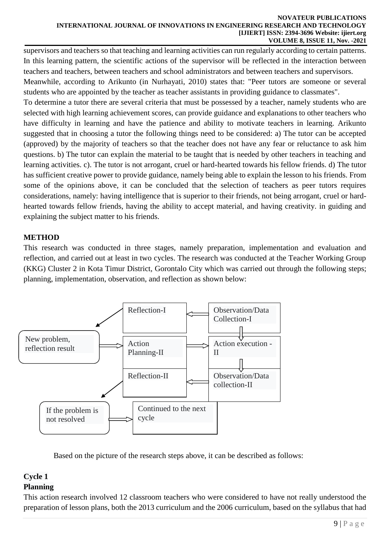#### **NOVATEUR PUBLICATIONS INTERNATIONAL JOURNAL OF INNOVATIONS IN ENGINEERING RESEARCH AND TECHNOLOGY [IJIERT] ISSN: 2394-3696 Website: ijiert.org VOLUME 8, ISSUE 11, Nov. -2021**

supervisors and teachers so that teaching and learning activities can run regularly according to certain patterns. In this learning pattern, the scientific actions of the supervisor will be reflected in the interaction between teachers and teachers, between teachers and school administrators and between teachers and supervisors.

Meanwhile, according to Arikunto (in Nurhayati, 2010) states that: "Peer tutors are someone or several students who are appointed by the teacher as teacher assistants in providing guidance to classmates".

To determine a tutor there are several criteria that must be possessed by a teacher, namely students who are selected with high learning achievement scores, can provide guidance and explanations to other teachers who have difficulty in learning and have the patience and ability to motivate teachers in learning. Arikunto suggested that in choosing a tutor the following things need to be considered: a) The tutor can be accepted (approved) by the majority of teachers so that the teacher does not have any fear or reluctance to ask him questions. b) The tutor can explain the material to be taught that is needed by other teachers in teaching and learning activities. c). The tutor is not arrogant, cruel or hard-hearted towards his fellow friends. d) The tutor has sufficient creative power to provide guidance, namely being able to explain the lesson to his friends. From some of the opinions above, it can be concluded that the selection of teachers as peer tutors requires considerations, namely: having intelligence that is superior to their friends, not being arrogant, cruel or hardhearted towards fellow friends, having the ability to accept material, and having creativity. in guiding and explaining the subject matter to his friends.

### **METHOD**

This research was conducted in three stages, namely preparation, implementation and evaluation and reflection, and carried out at least in two cycles. The research was conducted at the Teacher Working Group (KKG) Cluster 2 in Kota Timur District, Gorontalo City which was carried out through the following steps; planning, implementation, observation, and reflection as shown below:



Based on the picture of the research steps above, it can be described as follows:

# **Cycle 1**

## **Planning**

This action research involved 12 classroom teachers who were considered to have not really understood the preparation of lesson plans, both the 2013 curriculum and the 2006 curriculum, based on the syllabus that had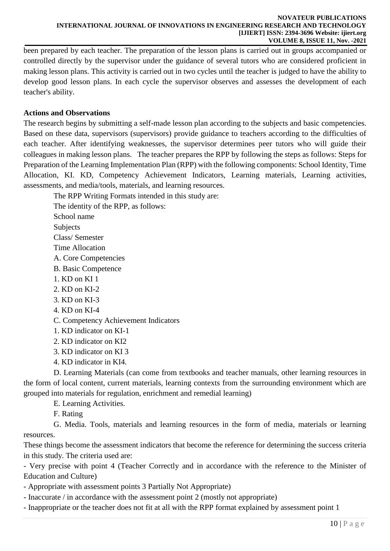been prepared by each teacher. The preparation of the lesson plans is carried out in groups accompanied or controlled directly by the supervisor under the guidance of several tutors who are considered proficient in making lesson plans. This activity is carried out in two cycles until the teacher is judged to have the ability to develop good lesson plans. In each cycle the supervisor observes and assesses the development of each teacher's ability.

### **Actions and Observations**

The research begins by submitting a self-made lesson plan according to the subjects and basic competencies. Based on these data, supervisors (supervisors) provide guidance to teachers according to the difficulties of each teacher. After identifying weaknesses, the supervisor determines peer tutors who will guide their colleagues in making lesson plans. The teacher prepares the RPP by following the steps as follows: Steps for Preparation of the Learning Implementation Plan (RPP) with the following components: School Identity, Time Allocation, KI. KD, Competency Achievement Indicators, Learning materials, Learning activities, assessments, and media/tools, materials, and learning resources.

The RPP Writing Formats intended in this study are:

The identity of the RPP, as follows:

School name

**Subjects** 

Class/ Semester

Time Allocation

- A. Core Competencies
- B. Basic Competence
- 1. KD on KI 1
- 2. KD on KI-2
- 3. KD on KI-3
- 4. KD on KI-4
- C. Competency Achievement Indicators
- 1. KD indicator on KI-1
- 2. KD indicator on KI2
- 3. KD indicator on KI 3
- 4. KD indicator in KI4.

D. Learning Materials (can come from textbooks and teacher manuals, other learning resources in the form of local content, current materials, learning contexts from the surrounding environment which are grouped into materials for regulation, enrichment and remedial learning)

#### E. Learning Activities.

F. Rating

G. Media. Tools, materials and learning resources in the form of media, materials or learning resources.

These things become the assessment indicators that become the reference for determining the success criteria in this study. The criteria used are:

- Very precise with point 4 (Teacher Correctly and in accordance with the reference to the Minister of Education and Culture)

- Appropriate with assessment points 3 Partially Not Appropriate)

- Inaccurate / in accordance with the assessment point 2 (mostly not appropriate)

- Inappropriate or the teacher does not fit at all with the RPP format explained by assessment point 1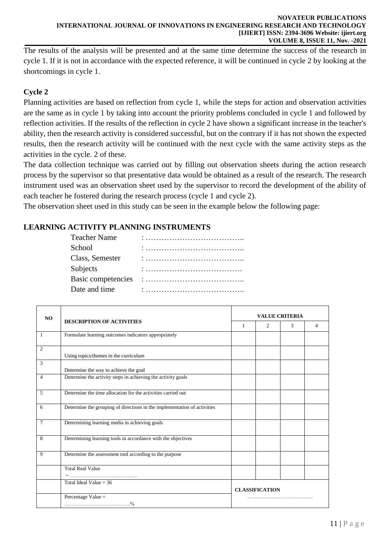The results of the analysis will be presented and at the same time determine the success of the research in cycle 1. If it is not in accordance with the expected reference, it will be continued in cycle 2 by looking at the shortcomings in cycle 1.

## **Cycle 2**

Planning activities are based on reflection from cycle 1, while the steps for action and observation activities are the same as in cycle 1 by taking into account the priority problems concluded in cycle 1 and followed by reflection activities. If the results of the reflection in cycle 2 have shown a significant increase in the teacher's ability, then the research activity is considered successful, but on the contrary if it has not shown the expected results, then the research activity will be continued with the next cycle with the same activity steps as the activities in the cycle. 2 of these.

The data collection technique was carried out by filling out observation sheets during the action research process by the supervisor so that presentative data would be obtained as a result of the research. The research instrument used was an observation sheet used by the supervisor to record the development of the ability of each teacher he fostered during the research process (cycle 1 and cycle 2).

The observation sheet used in this study can be seen in the example below the following page:

### **LEARNING ACTIVITY PLANNING INSTRUMENTS**

| <b>Teacher Name</b> |  |
|---------------------|--|
| School              |  |
| Class, Semester     |  |
| Subjects            |  |
| Basic competencies  |  |
| Date and time       |  |

| NO. | <b>DESCRIPTION OF ACTIVITIES</b>                                         | <b>VALUE CRITERIA</b> |                       |   |   |
|-----|--------------------------------------------------------------------------|-----------------------|-----------------------|---|---|
|     |                                                                          | 1                     | $\overline{c}$        | 3 | 4 |
| 1   | Formulate learning outcomes indicators appropriately                     |                       |                       |   |   |
| 2   | Using topics/themes in the curriculum                                    |                       |                       |   |   |
| 3   | Determine the way to achieve the goal                                    |                       |                       |   |   |
| 4   | Determine the activity steps in achieving the activity goals             |                       |                       |   |   |
| 5   | Determine the time allocation for the activities carried out             |                       |                       |   |   |
| 6   | Determine the grouping of directions in the implementation of activities |                       |                       |   |   |
| 7   | Determining learning media in achieving goals                            |                       |                       |   |   |
| 8   | Determining learning tools in accordance with the objectives             |                       |                       |   |   |
| 9   | Determine the assessment tool according to the purpose                   |                       |                       |   |   |
|     | <b>Total Real Value</b>                                                  |                       |                       |   |   |
|     |                                                                          |                       |                       |   |   |
|     | Total Ideal Value = $36$                                                 |                       | <b>CLASSIFICATION</b> |   |   |
|     | Percentage Value =                                                       |                       |                       |   |   |
|     |                                                                          |                       |                       |   |   |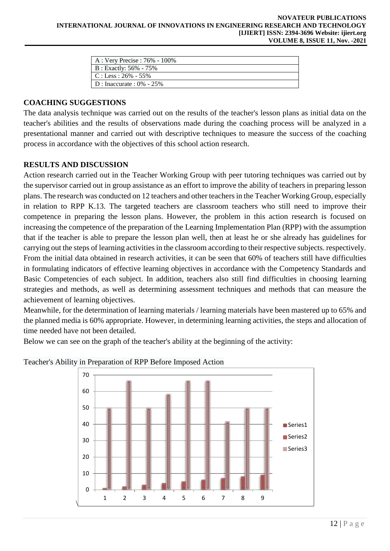| A : Very Precise : 76% - 100%   |
|---------------------------------|
| $\vert$ B : Exactly: 56% - 75%  |
| $\mathsf{IC}:$ Less : 26% - 55% |
| $D: Inaccurate: 0\% - 25\%$     |

#### **COACHING SUGGESTIONS**

The data analysis technique was carried out on the results of the teacher's lesson plans as initial data on the teacher's abilities and the results of observations made during the coaching process will be analyzed in a presentational manner and carried out with descriptive techniques to measure the success of the coaching process in accordance with the objectives of this school action research.

#### **RESULTS AND DISCUSSION**

Action research carried out in the Teacher Working Group with peer tutoring techniques was carried out by the supervisor carried out in group assistance as an effort to improve the ability of teachers in preparing lesson plans. The research was conducted on 12 teachers and other teachers in the Teacher Working Group, especially in relation to RPP K.13. The targeted teachers are classroom teachers who still need to improve their competence in preparing the lesson plans. However, the problem in this action research is focused on increasing the competence of the preparation of the Learning Implementation Plan (RPP) with the assumption that if the teacher is able to prepare the lesson plan well, then at least he or she already has guidelines for carrying out the steps of learning activities in the classroom according to their respective subjects. respectively. From the initial data obtained in research activities, it can be seen that 60% of teachers still have difficulties in formulating indicators of effective learning objectives in accordance with the Competency Standards and Basic Competencies of each subject. In addition, teachers also still find difficulties in choosing learning strategies and methods, as well as determining assessment techniques and methods that can measure the achievement of learning objectives.

Meanwhile, for the determination of learning materials / learning materials have been mastered up to 65% and the planned media is 60% appropriate. However, in determining learning activities, the steps and allocation of time needed have not been detailed.

Below we can see on the graph of the teacher's ability at the beginning of the activity:



#### Teacher's Ability in Preparation of RPP Before Imposed Action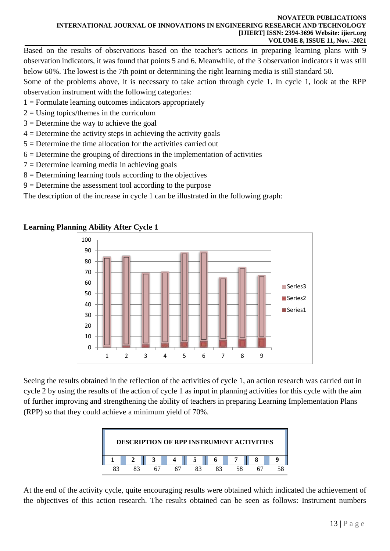Based on the results of observations based on the teacher's actions in preparing learning plans with 9 observation indicators, it was found that points 5 and 6. Meanwhile, of the 3 observation indicators it was still below 60%. The lowest is the 7th point or determining the right learning media is still standard 50.

Some of the problems above, it is necessary to take action through cycle 1. In cycle 1, look at the RPP observation instrument with the following categories:

- $1 =$  Formulate learning outcomes indicators appropriately
- $2 =$ Using topics/themes in the curriculum
- $3 =$  Determine the way to achieve the goal
- $4 =$  Determine the activity steps in achieving the activity goals
- 5 = Determine the time allocation for the activities carried out
- $6 =$  Determine the grouping of directions in the implementation of activities
- $7 =$  Determine learning media in achieving goals
- 8 = Determining learning tools according to the objectives
- $9 =$  Determine the assessment tool according to the purpose

The description of the increase in cycle 1 can be illustrated in the following graph:

## **Learning Planning Ability After Cycle 1**



Seeing the results obtained in the reflection of the activities of cycle 1, an action research was carried out in cycle 2 by using the results of the action of cycle 1 as input in planning activities for this cycle with the aim of further improving and strengthening the ability of teachers in preparing Learning Implementation Plans (RPP) so that they could achieve a minimum yield of 70%.



At the end of the activity cycle, quite encouraging results were obtained which indicated the achievement of the objectives of this action research. The results obtained can be seen as follows: Instrument numbers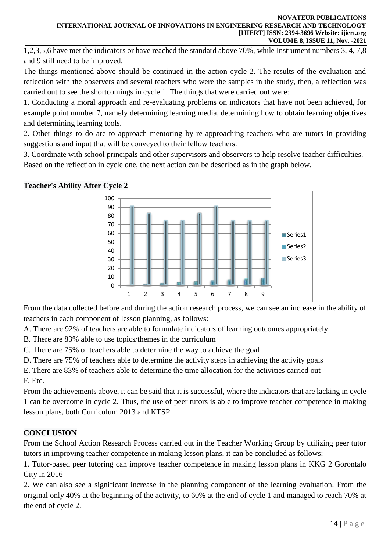1,2,3,5,6 have met the indicators or have reached the standard above 70%, while Instrument numbers 3, 4, 7,8 and 9 still need to be improved.

The things mentioned above should be continued in the action cycle 2. The results of the evaluation and reflection with the observers and several teachers who were the samples in the study, then, a reflection was carried out to see the shortcomings in cycle 1. The things that were carried out were:

1. Conducting a moral approach and re-evaluating problems on indicators that have not been achieved, for example point number 7, namely determining learning media, determining how to obtain learning objectives and determining learning tools.

2. Other things to do are to approach mentoring by re-approaching teachers who are tutors in providing suggestions and input that will be conveyed to their fellow teachers.

3. Coordinate with school principals and other supervisors and observers to help resolve teacher difficulties. Based on the reflection in cycle one, the next action can be described as in the graph below.





From the data collected before and during the action research process, we can see an increase in the ability of teachers in each component of lesson planning, as follows:

A. There are 92% of teachers are able to formulate indicators of learning outcomes appropriately

B. There are 83% able to use topics/themes in the curriculum

C. There are 75% of teachers able to determine the way to achieve the goal

D. There are 75% of teachers able to determine the activity steps in achieving the activity goals

E. There are 83% of teachers able to determine the time allocation for the activities carried out F. Etc.

From the achievements above, it can be said that it is successful, where the indicators that are lacking in cycle 1 can be overcome in cycle 2. Thus, the use of peer tutors is able to improve teacher competence in making lesson plans, both Curriculum 2013 and KTSP.

# **CONCLUSION**

From the School Action Research Process carried out in the Teacher Working Group by utilizing peer tutor tutors in improving teacher competence in making lesson plans, it can be concluded as follows:

1. Tutor-based peer tutoring can improve teacher competence in making lesson plans in KKG 2 Gorontalo City in 2016

2. We can also see a significant increase in the planning component of the learning evaluation. From the original only 40% at the beginning of the activity, to 60% at the end of cycle 1 and managed to reach 70% at the end of cycle 2.